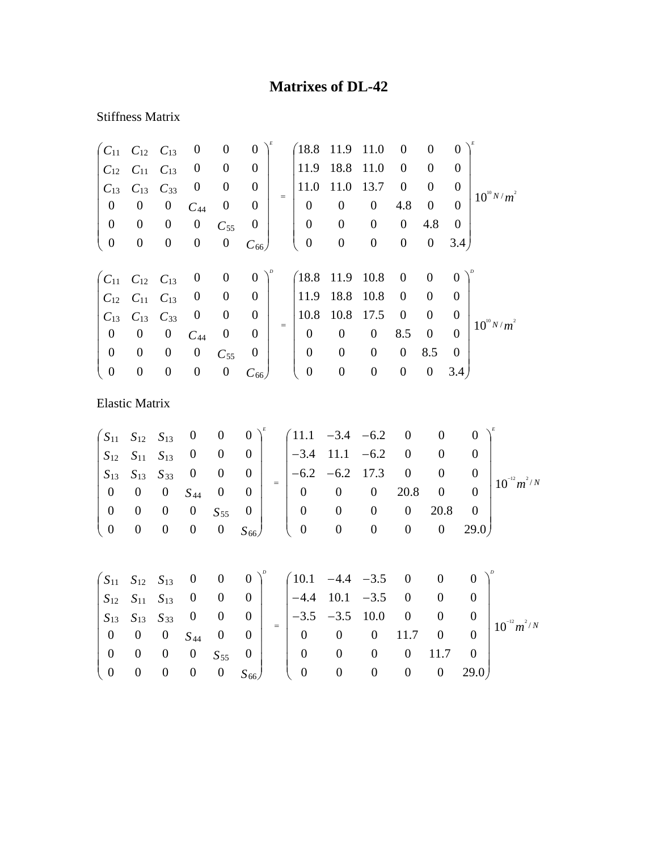## **Matrixes of DL-42**

## Stiffness Matrix

| $C_{11}$         | $C_{12}$              | $C_{13}$         | $\boldsymbol{0}$ | $\boldsymbol{0}$ | $\boldsymbol{0}$ |     | $\sqrt{18.8}$    | 11.9             | 11.0             | $\overline{0}$   | $\overline{0}$   | $\overline{0}$   |                            |
|------------------|-----------------------|------------------|------------------|------------------|------------------|-----|------------------|------------------|------------------|------------------|------------------|------------------|----------------------------|
| $C_{12}$         | $C_{11}$              | $C_{13}$         | $\boldsymbol{0}$ | $\boldsymbol{0}$ | $\boldsymbol{0}$ |     | 11.9             | 18.8             | 11.0             | $\boldsymbol{0}$ | $\boldsymbol{0}$ | $\theta$         |                            |
| $C_{13}$         | $C_{13}$              | $C_{33}$         | $\boldsymbol{0}$ | $\boldsymbol{0}$ | $\boldsymbol{0}$ |     | 11.0             | 11.0             | 13.7             | $\boldsymbol{0}$ | $\overline{0}$   | $\overline{0}$   | $10^{10} N/m^2$            |
| $\boldsymbol{0}$ | $\boldsymbol{0}$      | $\boldsymbol{0}$ | $C_{44}$         | $\boldsymbol{0}$ | $\boldsymbol{0}$ | $=$ | $\boldsymbol{0}$ | $\boldsymbol{0}$ | $\boldsymbol{0}$ | 4.8              | $\boldsymbol{0}$ | $\Omega$         |                            |
| $\boldsymbol{0}$ | $\boldsymbol{0}$      | $\boldsymbol{0}$ | $\boldsymbol{0}$ | $C_{55}$         | $\boldsymbol{0}$ |     | $\boldsymbol{0}$ | $\boldsymbol{0}$ | $\boldsymbol{0}$ | $\boldsymbol{0}$ | 4.8              | $\mathbf{0}$     |                            |
| $\boldsymbol{0}$ | $\boldsymbol{0}$      | $\boldsymbol{0}$ | $\boldsymbol{0}$ | $\boldsymbol{0}$ | $C_{66}$         |     | $\boldsymbol{0}$ | $\boldsymbol{0}$ | $\boldsymbol{0}$ | $\boldsymbol{0}$ | $\boldsymbol{0}$ | 3.4)             |                            |
| $C_{11}$         | $C_{12}$              | $C_{13}$         | $\boldsymbol{0}$ | $\boldsymbol{0}$ | $\boldsymbol{0}$ |     | (18.8)           | 11.9             | 10.8             | $\boldsymbol{0}$ | $\boldsymbol{0}$ | $\boldsymbol{0}$ |                            |
| $C_{12}$         | $C_{11}$              | $C_{13}$         | $\boldsymbol{0}$ | $\boldsymbol{0}$ | $\boldsymbol{0}$ |     | 11.9             | 18.8             | 10.8             | $\boldsymbol{0}$ | $\boldsymbol{0}$ | $\boldsymbol{0}$ |                            |
| $C_{13}$         | $C_{13}$              | $C_{33}$         | $\boldsymbol{0}$ | $\boldsymbol{0}$ | $\boldsymbol{0}$ |     | 10.8             | 10.8             | 17.5             | $\boldsymbol{0}$ | $\boldsymbol{0}$ | $\boldsymbol{0}$ |                            |
| $\boldsymbol{0}$ | $\boldsymbol{0}$      | $\boldsymbol{0}$ | $C_{44}$         | $\boldsymbol{0}$ | $\boldsymbol{0}$ | $=$ | $\boldsymbol{0}$ | $\boldsymbol{0}$ | $\boldsymbol{0}$ | 8.5              | $\boldsymbol{0}$ | $\overline{0}$   | $10^{10} N/m^2$            |
| $\boldsymbol{0}$ | $\boldsymbol{0}$      | $\boldsymbol{0}$ | $\boldsymbol{0}$ | $C_{55}$         | $\boldsymbol{0}$ |     | $\boldsymbol{0}$ | $\boldsymbol{0}$ | $\overline{0}$   | $\boldsymbol{0}$ | 8.5              | $\mathbf{0}$     |                            |
| $\boldsymbol{0}$ | $\boldsymbol{0}$      | $\boldsymbol{0}$ | $\boldsymbol{0}$ | $\boldsymbol{0}$ | $C_{66}$         |     | $\boldsymbol{0}$ | $\boldsymbol{0}$ | $\boldsymbol{0}$ | $\boldsymbol{0}$ | $\boldsymbol{0}$ | 3.4)             |                            |
|                  | <b>Elastic Matrix</b> |                  |                  |                  |                  |     |                  |                  |                  |                  |                  |                  |                            |
| $S_{11}$         | $S_{12}$              | $S_{13}$         | $\boldsymbol{0}$ | $\boldsymbol{0}$ | $\boldsymbol{0}$ |     | 11.1             | $-3.4$           | $-6.2$           | $\boldsymbol{0}$ | $\theta$         |                  | $\boldsymbol{0}$           |
| $S_{12}$         | $S_{11}$              | $S_{13}$         | $\boldsymbol{0}$ | $\boldsymbol{0}$ | $\boldsymbol{0}$ |     | $-3.4$           | 11.1             | $-6.2$           | $\boldsymbol{0}$ | $\overline{0}$   |                  | $\boldsymbol{0}$           |
| $S_{13}$         | $S_{13}$              | $S_{33}$         | $\boldsymbol{0}$ | $\boldsymbol{0}$ | $\boldsymbol{0}$ |     | $-6.2$           | $-6.2$           | 17.3             | $\boldsymbol{0}$ | $\boldsymbol{0}$ |                  | $\overline{0}$             |
|                  | $\sim$                | $\sim$           |                  | $\sim$           | $=$<br>$\sim$    |     | $\sim$           | $\sim$           | $\sim$           | $\Omega$         | $\sim$           |                  | $10^{-12} m^2/N$<br>$\sim$ |

|  |  |  |  |                                                                                                                     |  |  | $\frac{1}{2}$ $\frac{10}{2}$ |
|--|--|--|--|---------------------------------------------------------------------------------------------------------------------|--|--|------------------------------|
|  |  |  |  | $\begin{array}{cccc ccc} 0 & 0 & 0 & 0 & S_{55} & 0 & 0 & 0 & 0 & 0 & 0 & 20.8 & 0 \end{array}$                     |  |  |                              |
|  |  |  |  | $\begin{pmatrix} 0 & 0 & 0 & 0 & 0 & S_{66} \end{pmatrix}$ $\begin{pmatrix} 0 & 0 & 0 & 0 & 0 & 29.0 \end{pmatrix}$ |  |  |                              |

|                                           |  |  |                                                                          |  | $\begin{pmatrix} S_{11} & S_{12} & S_{13} & 0 & 0 & 0 \end{pmatrix}^{\nu}$ $\begin{pmatrix} 10.1 & -4.4 & -3.5 & 0 & 0 & 0 \end{pmatrix}^{\nu}$                                                       |              |          |             |                  |
|-------------------------------------------|--|--|--------------------------------------------------------------------------|--|-------------------------------------------------------------------------------------------------------------------------------------------------------------------------------------------------------|--------------|----------|-------------|------------------|
|                                           |  |  |                                                                          |  | $\begin{array}{ccccccccc} S_{12} & S_{11} & S_{13} & 0 & 0 & 0 & \end{array}$ $\begin{array}{ccccccccc} -4.4 & 10.1 & -3.5 & 0 & 0 \end{array}$                                                       |              |          |             |                  |
|                                           |  |  |                                                                          |  | $\begin{array}{ c c c c c c c c c } \hline S_{13} & S_{13} & S_{33} & 0 & 0 & 0 & - \\ \hline \end{array}$ $\begin{array}{ c c c c c c c c } \hline -3.5 & -3.5 & 10.0 & 0 & 0 \\ \hline \end{array}$ |              |          |             | $10^{-12} m^2/N$ |
|                                           |  |  | $(0 \t 0 \t 0 \t S_{44} \t 0 \t 0)$                                      |  | $\begin{bmatrix} 0 & 0 & 0 & 11.7 & 0 \end{bmatrix}$                                                                                                                                                  |              |          |             |                  |
|                                           |  |  | $\begin{array}{ccccccccccccc}\n0 & 0 & 0 & 0 & S_{55} & 0 & \end{array}$ |  | $0\qquad 0$                                                                                                                                                                                           | $\mathbf{0}$ | $\theta$ | $11.7 \t 0$ |                  |
| $\begin{pmatrix} 0 & 0 & 0 \end{pmatrix}$ |  |  |                                                                          |  | $0 S_{66}$ ( 0 0 0 0 0 29.0)                                                                                                                                                                          |              |          |             |                  |